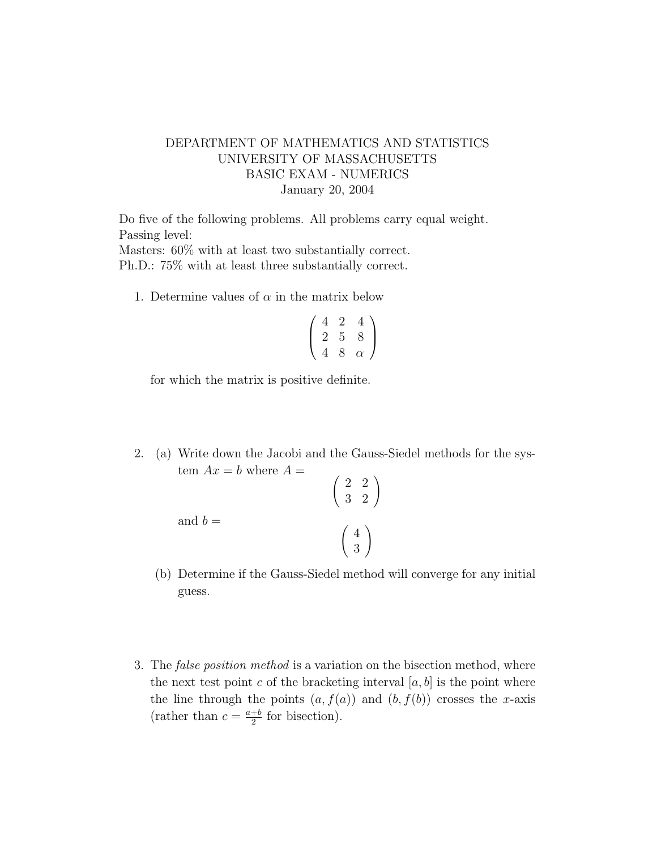## DEPARTMENT OF MATHEMATICS AND STATISTICS UNIVERSITY OF MASSACHUSETTS BASIC EXAM - NUMERICS January 20, 2004

Do five of the following problems. All problems carry equal weight. Passing level:

Masters: 60% with at least two substantially correct. Ph.D.: 75% with at least three substantially correct.

1. Determine values of  $\alpha$  in the matrix below

$$
\left(\begin{array}{ccc}\n4 & 2 & 4 \\
2 & 5 & 8 \\
4 & 8 & \alpha\n\end{array}\right)
$$

for which the matrix is positive definite.

2. (a) Write down the Jacobi and the Gauss-Siedel methods for the system  $Ax = b$  where  $A =$  $\begin{pmatrix} 2 & 2 \\ 3 & 2 \end{pmatrix}$ 

and 
$$
b =
$$

(b) Determine if the Gauss-Siedel method will converge for any initial guess.

4 3  $\setminus$ 

3. The false position method is a variation on the bisection method, where the next test point c of the bracketing interval  $[a, b]$  is the point where the line through the points  $(a, f(a))$  and  $(b, f(b))$  crosses the x-axis (rather than  $c = \frac{a+b}{2}$  $\frac{+b}{2}$  for bisection).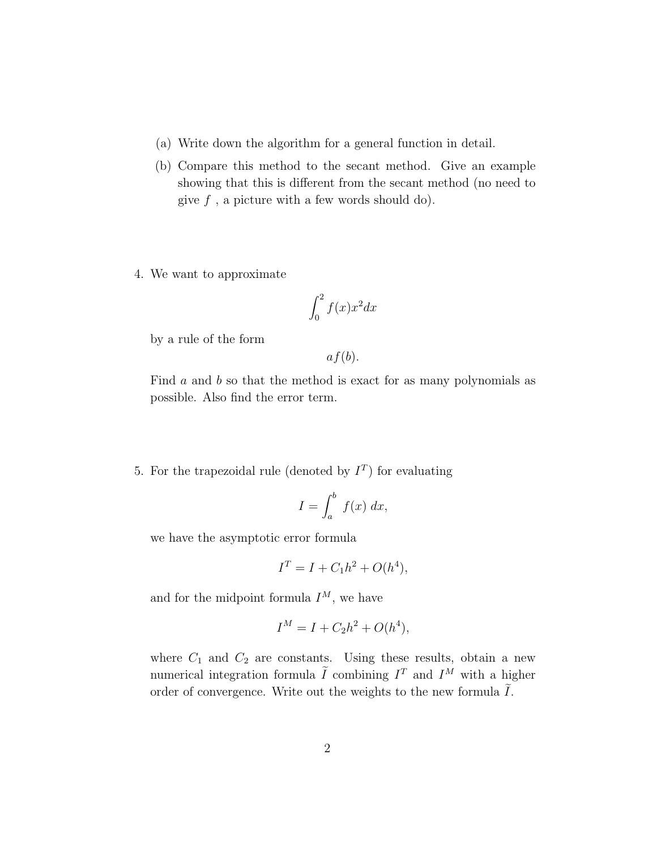- (a) Write down the algorithm for a general function in detail.
- (b) Compare this method to the secant method. Give an example showing that this is different from the secant method (no need to give  $f$ , a picture with a few words should do).
- 4. We want to approximate

$$
\int_0^2 f(x)x^2 dx
$$

by a rule of the form

 $af(b).$ 

Find a and b so that the method is exact for as many polynomials as possible. Also find the error term.

5. For the trapezoidal rule (denoted by  $I<sup>T</sup>$ ) for evaluating

$$
I = \int_{a}^{b} f(x) \, dx,
$$

we have the asymptotic error formula

$$
I^T = I + C_1 h^2 + O(h^4),
$$

and for the midpoint formula  $I^M$ , we have

$$
I^M = I + C_2 h^2 + O(h^4),
$$

where  $C_1$  and  $C_2$  are constants. Using these results, obtain a new numerical integration formula  $\tilde{I}$  combining  $I^T$  and  $I^M$  with a higher order of convergence. Write out the weights to the new formula  $\tilde{I}$ .